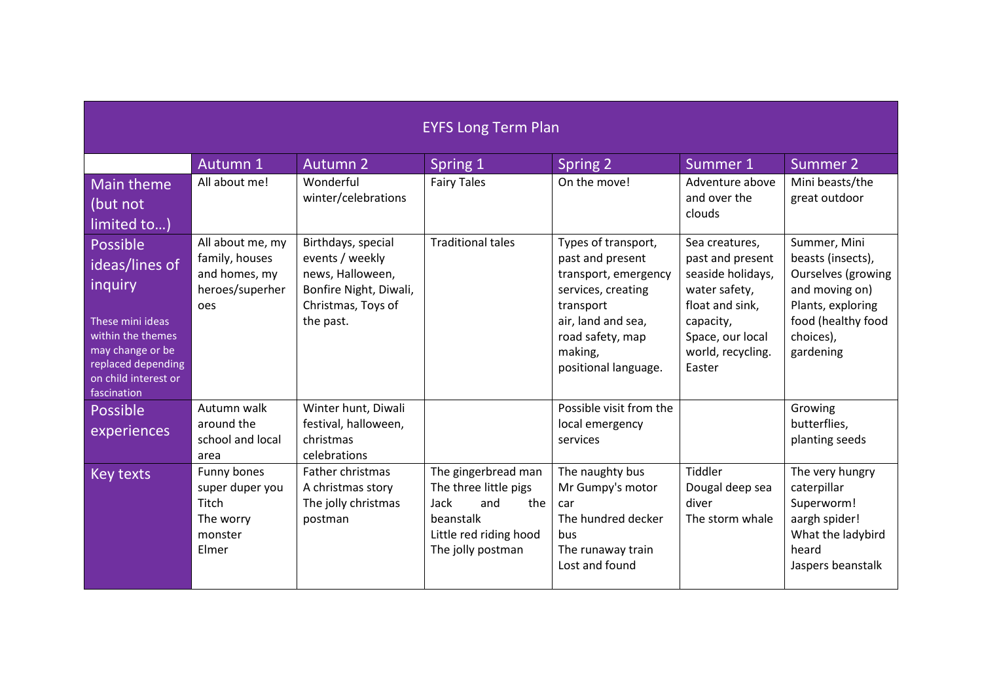| <b>EYFS Long Term Plan</b>                                                                                                                                      |                                                                               |                                                                                                                        |                                                                                                                                |                                                                                                                                                                                 |                                                                                                                                                             |                                                                                                                                                       |  |
|-----------------------------------------------------------------------------------------------------------------------------------------------------------------|-------------------------------------------------------------------------------|------------------------------------------------------------------------------------------------------------------------|--------------------------------------------------------------------------------------------------------------------------------|---------------------------------------------------------------------------------------------------------------------------------------------------------------------------------|-------------------------------------------------------------------------------------------------------------------------------------------------------------|-------------------------------------------------------------------------------------------------------------------------------------------------------|--|
|                                                                                                                                                                 | Autumn 1                                                                      | <b>Autumn 2</b>                                                                                                        | Spring 1                                                                                                                       | Spring 2                                                                                                                                                                        | Summer 1                                                                                                                                                    | Summer 2                                                                                                                                              |  |
| Main theme<br>(but not<br>limited to)                                                                                                                           | All about me!                                                                 | Wonderful<br>winter/celebrations                                                                                       | <b>Fairy Tales</b>                                                                                                             | On the move!                                                                                                                                                                    | Adventure above<br>and over the<br>clouds                                                                                                                   | Mini beasts/the<br>great outdoor                                                                                                                      |  |
| Possible<br>ideas/lines of<br>inquiry<br>These mini ideas<br>within the themes<br>may change or be<br>replaced depending<br>on child interest or<br>fascination | All about me, my<br>family, houses<br>and homes, my<br>heroes/superher<br>oes | Birthdays, special<br>events / weekly<br>news, Halloween,<br>Bonfire Night, Diwali,<br>Christmas, Toys of<br>the past. | <b>Traditional tales</b>                                                                                                       | Types of transport,<br>past and present<br>transport, emergency<br>services, creating<br>transport<br>air, land and sea,<br>road safety, map<br>making,<br>positional language. | Sea creatures,<br>past and present<br>seaside holidays,<br>water safety,<br>float and sink,<br>capacity,<br>Space, our local<br>world, recycling.<br>Easter | Summer, Mini<br>beasts (insects),<br><b>Ourselves (growing</b><br>and moving on)<br>Plants, exploring<br>food (healthy food<br>choices),<br>gardening |  |
| Possible<br>experiences                                                                                                                                         | Autumn walk<br>around the<br>school and local<br>area                         | Winter hunt, Diwali<br>festival, halloween,<br>christmas<br>celebrations                                               |                                                                                                                                | Possible visit from the<br>local emergency<br>services                                                                                                                          |                                                                                                                                                             | Growing<br>butterflies,<br>planting seeds                                                                                                             |  |
| <b>Key texts</b>                                                                                                                                                | Funny bones<br>super duper you<br>Titch<br>The worry<br>monster<br>Elmer      | Father christmas<br>A christmas story<br>The jolly christmas<br>postman                                                | The gingerbread man<br>The three little pigs<br>Jack<br>and<br>the<br>beanstalk<br>Little red riding hood<br>The jolly postman | The naughty bus<br>Mr Gumpy's motor<br>car<br>The hundred decker<br>bus<br>The runaway train<br>Lost and found                                                                  | Tiddler<br>Dougal deep sea<br>diver<br>The storm whale                                                                                                      | The very hungry<br>caterpillar<br>Superworm!<br>aargh spider!<br>What the ladybird<br>heard<br>Jaspers beanstalk                                      |  |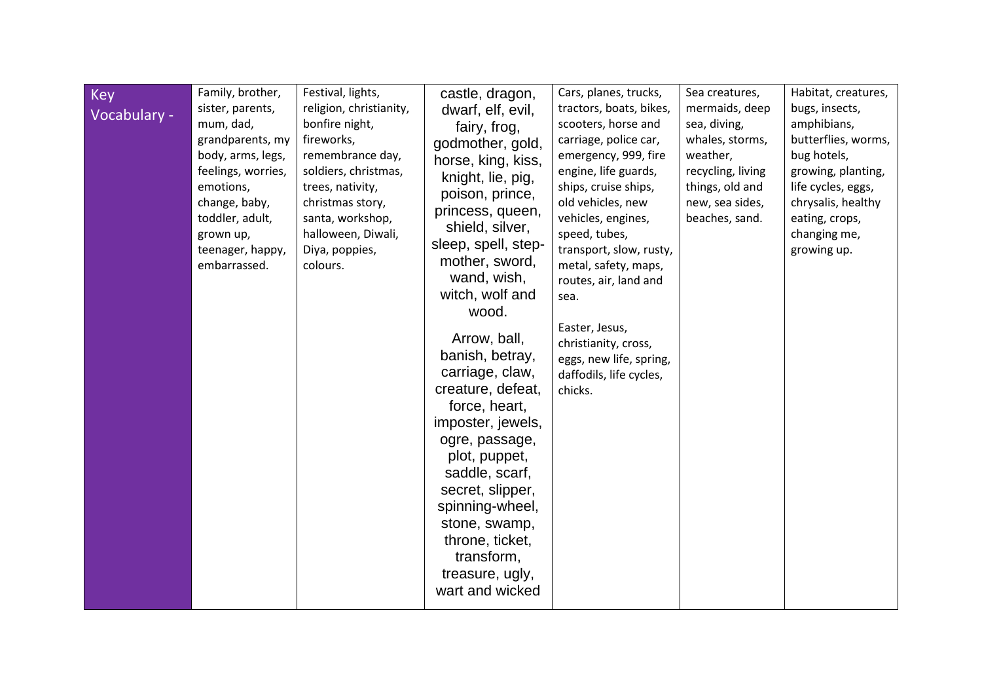| <b>Key</b><br>Vocabulary - | Family, brother,<br>sister, parents,<br>mum, dad,<br>grandparents, my<br>body, arms, legs,<br>feelings, worries,<br>emotions,<br>change, baby,<br>toddler, adult,<br>grown up,<br>teenager, happy,<br>embarrassed. | Festival, lights,<br>religion, christianity,<br>bonfire night,<br>fireworks,<br>remembrance day,<br>soldiers, christmas,<br>trees, nativity,<br>christmas story,<br>santa, workshop,<br>halloween, Diwali,<br>Diya, poppies,<br>colours. | castle, dragon,<br>dwarf, elf, evil,<br>fairy, frog,<br>godmother, gold,<br>horse, king, kiss,<br>knight, lie, pig,<br>poison, prince,<br>princess, queen,<br>shield, silver,<br>sleep, spell, step-<br>mother, sword,<br>wand, wish,<br>witch, wolf and<br>wood.<br>Arrow, ball,<br>banish, betray,<br>carriage, claw,<br>creature, defeat,<br>force, heart,<br>imposter, jewels,<br>ogre, passage,<br>plot, puppet,<br>saddle, scarf,<br>secret, slipper,<br>spinning-wheel,<br>stone, swamp,<br>throne, ticket,<br>transform,<br>treasure, ugly,<br>wart and wicked | Cars, planes, trucks,<br>tractors, boats, bikes,<br>scooters, horse and<br>carriage, police car,<br>emergency, 999, fire<br>engine, life guards,<br>ships, cruise ships,<br>old vehicles, new<br>vehicles, engines,<br>speed, tubes,<br>transport, slow, rusty,<br>metal, safety, maps,<br>routes, air, land and<br>sea.<br>Easter, Jesus,<br>christianity, cross,<br>eggs, new life, spring,<br>daffodils, life cycles,<br>chicks. | Sea creatures,<br>mermaids, deep<br>sea, diving,<br>whales, storms,<br>weather,<br>recycling, living<br>things, old and<br>new, sea sides,<br>beaches, sand. | Habitat, creatures,<br>bugs, insects,<br>amphibians,<br>butterflies, worms,<br>bug hotels,<br>growing, planting,<br>life cycles, eggs,<br>chrysalis, healthy<br>eating, crops,<br>changing me,<br>growing up. |
|----------------------------|--------------------------------------------------------------------------------------------------------------------------------------------------------------------------------------------------------------------|------------------------------------------------------------------------------------------------------------------------------------------------------------------------------------------------------------------------------------------|------------------------------------------------------------------------------------------------------------------------------------------------------------------------------------------------------------------------------------------------------------------------------------------------------------------------------------------------------------------------------------------------------------------------------------------------------------------------------------------------------------------------------------------------------------------------|-------------------------------------------------------------------------------------------------------------------------------------------------------------------------------------------------------------------------------------------------------------------------------------------------------------------------------------------------------------------------------------------------------------------------------------|--------------------------------------------------------------------------------------------------------------------------------------------------------------|---------------------------------------------------------------------------------------------------------------------------------------------------------------------------------------------------------------|
|----------------------------|--------------------------------------------------------------------------------------------------------------------------------------------------------------------------------------------------------------------|------------------------------------------------------------------------------------------------------------------------------------------------------------------------------------------------------------------------------------------|------------------------------------------------------------------------------------------------------------------------------------------------------------------------------------------------------------------------------------------------------------------------------------------------------------------------------------------------------------------------------------------------------------------------------------------------------------------------------------------------------------------------------------------------------------------------|-------------------------------------------------------------------------------------------------------------------------------------------------------------------------------------------------------------------------------------------------------------------------------------------------------------------------------------------------------------------------------------------------------------------------------------|--------------------------------------------------------------------------------------------------------------------------------------------------------------|---------------------------------------------------------------------------------------------------------------------------------------------------------------------------------------------------------------|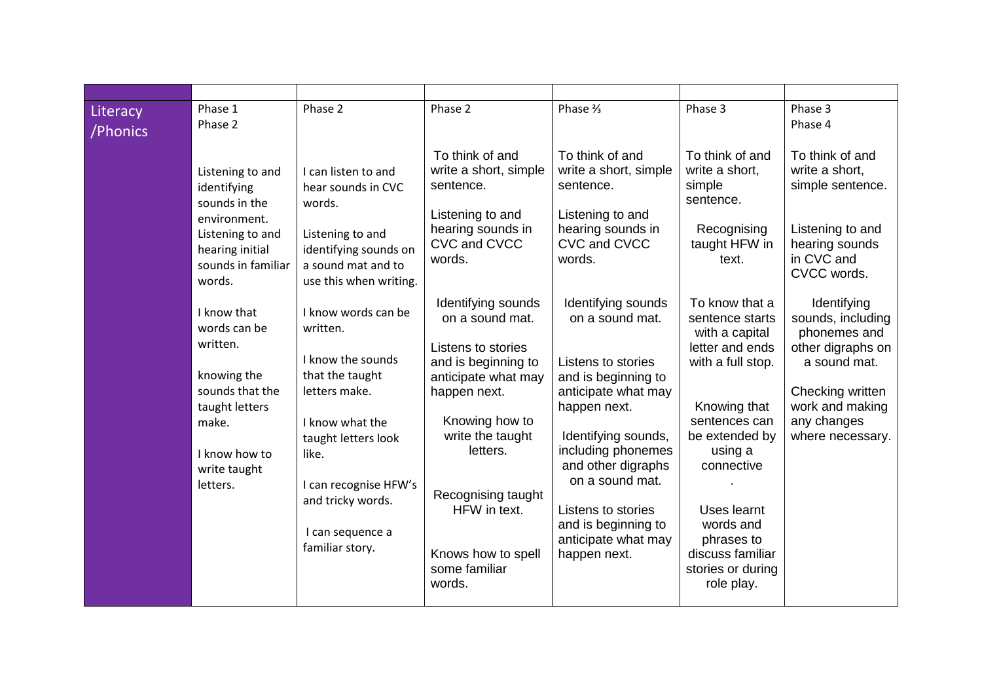| Literacy<br>/Phonics | Phase 1<br>Phase 2                                                                                                                                | Phase 2                                                                                                                                                                                                                          | Phase 2                                                                                                                                                                                                                                                            | Phase %                                                                                                                                                                                                                                                                                             | Phase 3                                                                                                                                                                                                                                                                  | Phase 3<br>Phase 4                                                                                                                                              |
|----------------------|---------------------------------------------------------------------------------------------------------------------------------------------------|----------------------------------------------------------------------------------------------------------------------------------------------------------------------------------------------------------------------------------|--------------------------------------------------------------------------------------------------------------------------------------------------------------------------------------------------------------------------------------------------------------------|-----------------------------------------------------------------------------------------------------------------------------------------------------------------------------------------------------------------------------------------------------------------------------------------------------|--------------------------------------------------------------------------------------------------------------------------------------------------------------------------------------------------------------------------------------------------------------------------|-----------------------------------------------------------------------------------------------------------------------------------------------------------------|
|                      | Listening to and<br>identifying<br>sounds in the<br>environment.<br>Listening to and<br>hearing initial<br>sounds in familiar<br>words.           | I can listen to and<br>hear sounds in CVC<br>words.<br>Listening to and<br>identifying sounds on<br>a sound mat and to<br>use this when writing.                                                                                 | To think of and<br>write a short, simple<br>sentence.<br>Listening to and<br>hearing sounds in<br>CVC and CVCC<br>words.                                                                                                                                           | To think of and<br>write a short, simple<br>sentence.<br>Listening to and<br>hearing sounds in<br>CVC and CVCC<br>words.                                                                                                                                                                            | To think of and<br>write a short,<br>simple<br>sentence.<br>Recognising<br>taught HFW in<br>text.                                                                                                                                                                        | To think of and<br>write a short,<br>simple sentence.<br>Listening to and<br>hearing sounds<br>in CVC and<br>CVCC words.                                        |
|                      | I know that<br>words can be<br>written.<br>knowing the<br>sounds that the<br>taught letters<br>make.<br>I know how to<br>write taught<br>letters. | I know words can be<br>written.<br>I know the sounds<br>that the taught<br>letters make.<br>I know what the<br>taught letters look<br>like.<br>I can recognise HFW's<br>and tricky words.<br>I can sequence a<br>familiar story. | Identifying sounds<br>on a sound mat.<br>Listens to stories<br>and is beginning to<br>anticipate what may<br>happen next.<br>Knowing how to<br>write the taught<br>letters.<br>Recognising taught<br>HFW in text.<br>Knows how to spell<br>some familiar<br>words. | Identifying sounds<br>on a sound mat.<br>Listens to stories<br>and is beginning to<br>anticipate what may<br>happen next.<br>Identifying sounds,<br>including phonemes<br>and other digraphs<br>on a sound mat.<br>Listens to stories<br>and is beginning to<br>anticipate what may<br>happen next. | To know that a<br>sentence starts<br>with a capital<br>letter and ends<br>with a full stop.<br>Knowing that<br>sentences can<br>be extended by<br>using a<br>connective<br>Uses learnt<br>words and<br>phrases to<br>discuss familiar<br>stories or during<br>role play. | Identifying<br>sounds, including<br>phonemes and<br>other digraphs on<br>a sound mat.<br>Checking written<br>work and making<br>any changes<br>where necessary. |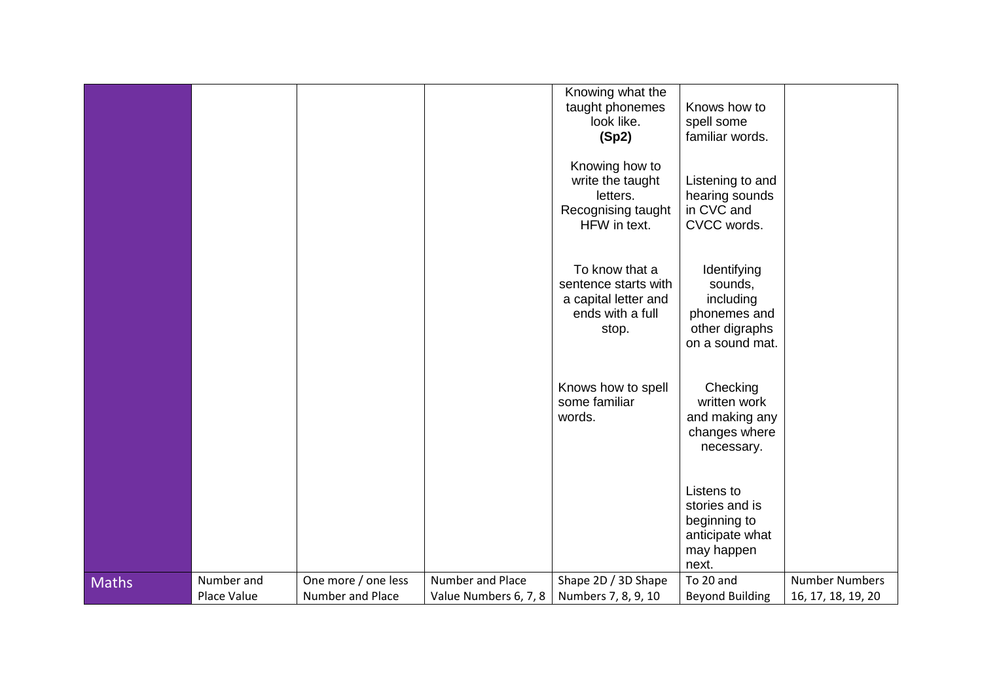|              |                           |                                                |                                           | Knowing what the<br>taught phonemes<br>look like.<br>(Sp2)                                  | Knows how to<br>spell some<br>familiar words.                                            |                                             |
|--------------|---------------------------|------------------------------------------------|-------------------------------------------|---------------------------------------------------------------------------------------------|------------------------------------------------------------------------------------------|---------------------------------------------|
|              |                           |                                                |                                           | Knowing how to<br>write the taught<br>letters.<br>Recognising taught<br>HFW in text.        | Listening to and<br>hearing sounds<br>in CVC and<br>CVCC words.                          |                                             |
|              |                           |                                                |                                           | To know that a<br>sentence starts with<br>a capital letter and<br>ends with a full<br>stop. | Identifying<br>sounds,<br>including<br>phonemes and<br>other digraphs<br>on a sound mat. |                                             |
|              |                           |                                                |                                           | Knows how to spell<br>some familiar<br>words.                                               | Checking<br>written work<br>and making any<br>changes where<br>necessary.                |                                             |
|              |                           |                                                |                                           |                                                                                             | Listens to<br>stories and is<br>beginning to<br>anticipate what<br>may happen<br>next.   |                                             |
| <b>Maths</b> | Number and<br>Place Value | One more / one less<br><b>Number and Place</b> | Number and Place<br>Value Numbers 6, 7, 8 | Shape 2D / 3D Shape<br>Numbers 7, 8, 9, 10                                                  | To 20 and<br><b>Beyond Building</b>                                                      | <b>Number Numbers</b><br>16, 17, 18, 19, 20 |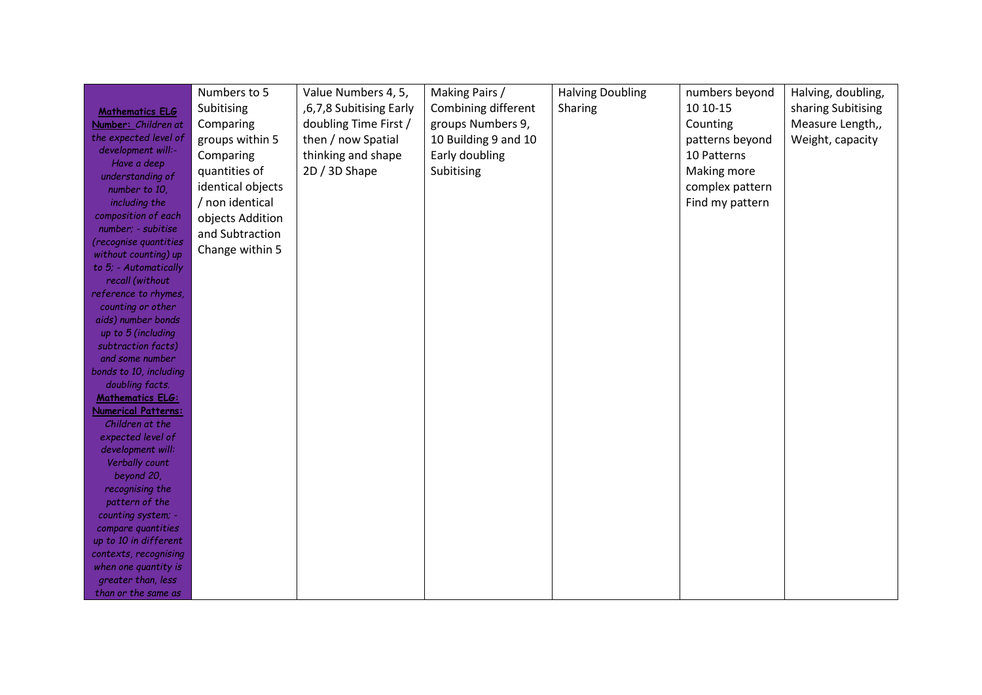|                                              | Numbers to 5      | Value Numbers 4, 5,     | Making Pairs /       | <b>Halving Doubling</b> | numbers beyond  | Halving, doubling, |
|----------------------------------------------|-------------------|-------------------------|----------------------|-------------------------|-----------------|--------------------|
|                                              | Subitising        | ,6,7,8 Subitising Early | Combining different  | Sharing                 | 10 10 - 15      | sharing Subitising |
| <b>Mathematics ELG</b>                       |                   | doubling Time First /   | groups Numbers 9,    |                         |                 | Measure Length,,   |
| Number: Children at<br>the expected level of | Comparing         |                         |                      |                         | Counting        |                    |
| development will:-                           | groups within 5   | then / now Spatial      | 10 Building 9 and 10 |                         | patterns beyond | Weight, capacity   |
| Have a deep                                  | Comparing         | thinking and shape      | Early doubling       |                         | 10 Patterns     |                    |
| understanding of                             | quantities of     | 2D / 3D Shape           | Subitising           |                         | Making more     |                    |
| number to 10,                                | identical objects |                         |                      |                         | complex pattern |                    |
| including the                                | / non identical   |                         |                      |                         | Find my pattern |                    |
| composition of each                          |                   |                         |                      |                         |                 |                    |
| number; - subitise                           | objects Addition  |                         |                      |                         |                 |                    |
| (recognise quantities                        | and Subtraction   |                         |                      |                         |                 |                    |
| without counting) up                         | Change within 5   |                         |                      |                         |                 |                    |
| to 5; - Automatically                        |                   |                         |                      |                         |                 |                    |
| recall (without                              |                   |                         |                      |                         |                 |                    |
| reference to rhymes,                         |                   |                         |                      |                         |                 |                    |
| counting or other                            |                   |                         |                      |                         |                 |                    |
| aids) number bonds                           |                   |                         |                      |                         |                 |                    |
| up to 5 (including                           |                   |                         |                      |                         |                 |                    |
| subtraction facts)                           |                   |                         |                      |                         |                 |                    |
| and some number                              |                   |                         |                      |                         |                 |                    |
| bonds to 10, including                       |                   |                         |                      |                         |                 |                    |
| doubling facts.                              |                   |                         |                      |                         |                 |                    |
| <b>Mathematics ELG:</b>                      |                   |                         |                      |                         |                 |                    |
| <b>Numerical Patterns:</b>                   |                   |                         |                      |                         |                 |                    |
| Children at the                              |                   |                         |                      |                         |                 |                    |
| expected level of                            |                   |                         |                      |                         |                 |                    |
| development will:                            |                   |                         |                      |                         |                 |                    |
| Verbally count                               |                   |                         |                      |                         |                 |                    |
| beyond 20,                                   |                   |                         |                      |                         |                 |                    |
| recognising the                              |                   |                         |                      |                         |                 |                    |
| pattern of the                               |                   |                         |                      |                         |                 |                    |
| counting system; -                           |                   |                         |                      |                         |                 |                    |
| compare quantities                           |                   |                         |                      |                         |                 |                    |
| up to 10 in different                        |                   |                         |                      |                         |                 |                    |
| contexts, recognising                        |                   |                         |                      |                         |                 |                    |
| when one quantity is                         |                   |                         |                      |                         |                 |                    |
| greater than, less                           |                   |                         |                      |                         |                 |                    |
| than or the same as                          |                   |                         |                      |                         |                 |                    |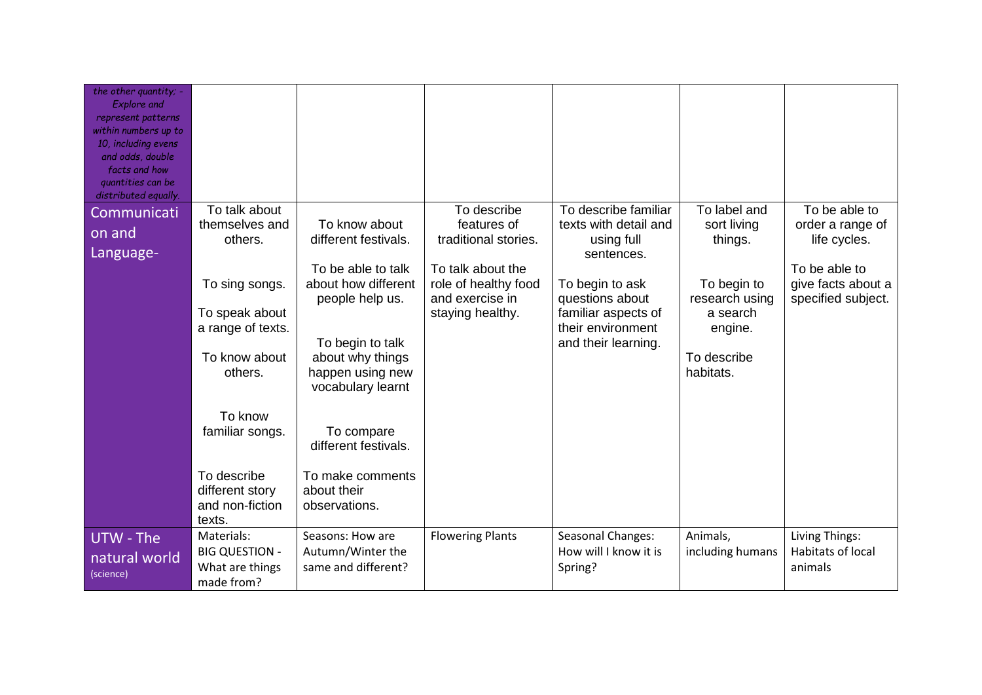| the other quantity; -<br><b>Explore</b> and<br>represent patterns<br>within numbers up to<br>10, including evens<br>and odds, double<br>facts and how<br>quantities can be<br>distributed equally. |                                                                                                                                                                      |                                                                                                                                                                                                                   |                                                             |                                                                                                       |                                                                                  |                                                   |
|----------------------------------------------------------------------------------------------------------------------------------------------------------------------------------------------------|----------------------------------------------------------------------------------------------------------------------------------------------------------------------|-------------------------------------------------------------------------------------------------------------------------------------------------------------------------------------------------------------------|-------------------------------------------------------------|-------------------------------------------------------------------------------------------------------|----------------------------------------------------------------------------------|---------------------------------------------------|
| Communicati                                                                                                                                                                                        | To talk about                                                                                                                                                        |                                                                                                                                                                                                                   | To describe                                                 | To describe familiar                                                                                  | To label and                                                                     | To be able to                                     |
| on and<br>Language-                                                                                                                                                                                | themselves and<br>others.                                                                                                                                            | To know about<br>different festivals.<br>To be able to talk                                                                                                                                                       | features of<br>traditional stories.<br>To talk about the    | texts with detail and<br>using full<br>sentences.                                                     | sort living<br>things.                                                           | order a range of<br>life cycles.<br>To be able to |
|                                                                                                                                                                                                    | To sing songs.<br>To speak about<br>a range of texts.<br>To know about<br>others.<br>To know<br>familiar songs.<br>To describe<br>different story<br>and non-fiction | about how different<br>people help us.<br>To begin to talk<br>about why things<br>happen using new<br>vocabulary learnt<br>To compare<br>different festivals.<br>To make comments<br>about their<br>observations. | role of healthy food<br>and exercise in<br>staying healthy. | To begin to ask<br>questions about<br>familiar aspects of<br>their environment<br>and their learning. | To begin to<br>research using<br>a search<br>engine.<br>To describe<br>habitats. | give facts about a<br>specified subject.          |
| UTW - The<br>natural world<br>(science)                                                                                                                                                            | texts.<br>Materials:<br><b>BIG QUESTION -</b><br>What are things<br>made from?                                                                                       | Seasons: How are<br>Autumn/Winter the<br>same and different?                                                                                                                                                      | <b>Flowering Plants</b>                                     | Seasonal Changes:<br>How will I know it is<br>Spring?                                                 | Animals,<br>including humans                                                     | Living Things:<br>Habitats of local<br>animals    |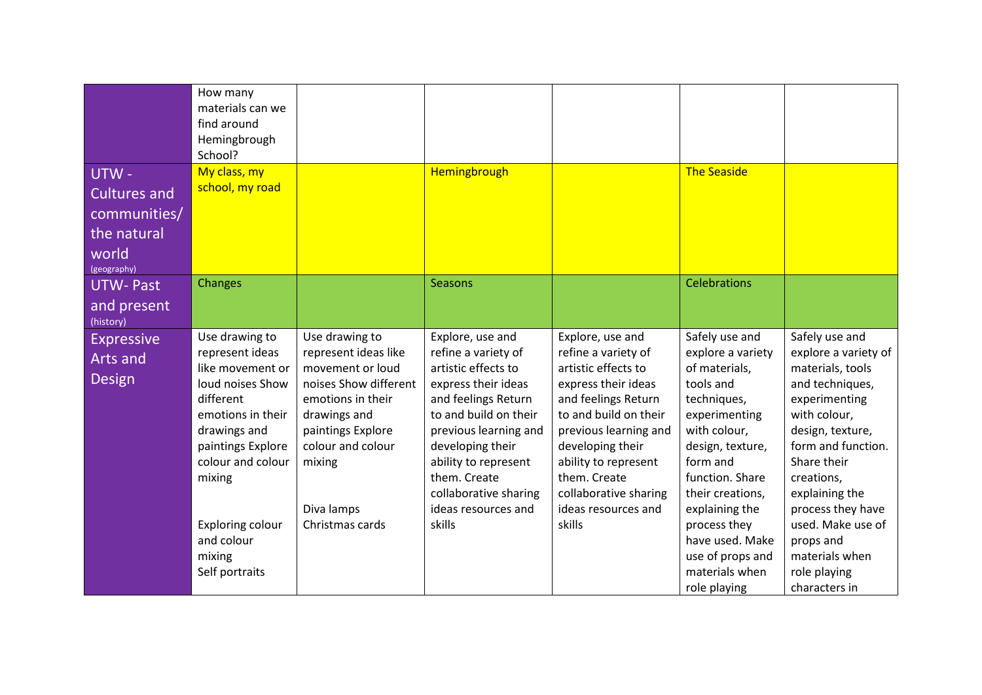| UTW-                                                                       | How many<br>materials can we<br>find around<br>Hemingbrough<br>School?<br>My class, my                                                                                                                                                        |                                                                                                                                                                                                               | Hemingbrough                                                                                                                                                                                                                                                                         |                                                                                                                                                                                                                                                                                      | <b>The Seaside</b>                                                                                                                                                                                                                                                                                  |                                                                                                                                                                                                                                                                                                                   |
|----------------------------------------------------------------------------|-----------------------------------------------------------------------------------------------------------------------------------------------------------------------------------------------------------------------------------------------|---------------------------------------------------------------------------------------------------------------------------------------------------------------------------------------------------------------|--------------------------------------------------------------------------------------------------------------------------------------------------------------------------------------------------------------------------------------------------------------------------------------|--------------------------------------------------------------------------------------------------------------------------------------------------------------------------------------------------------------------------------------------------------------------------------------|-----------------------------------------------------------------------------------------------------------------------------------------------------------------------------------------------------------------------------------------------------------------------------------------------------|-------------------------------------------------------------------------------------------------------------------------------------------------------------------------------------------------------------------------------------------------------------------------------------------------------------------|
| <b>Cultures and</b><br>communities/<br>the natural<br>world<br>(geography) | school, my road                                                                                                                                                                                                                               |                                                                                                                                                                                                               |                                                                                                                                                                                                                                                                                      |                                                                                                                                                                                                                                                                                      |                                                                                                                                                                                                                                                                                                     |                                                                                                                                                                                                                                                                                                                   |
| <b>UTW-Past</b><br>and present<br>(history)                                | Changes                                                                                                                                                                                                                                       |                                                                                                                                                                                                               | <b>Seasons</b>                                                                                                                                                                                                                                                                       |                                                                                                                                                                                                                                                                                      | <b>Celebrations</b>                                                                                                                                                                                                                                                                                 |                                                                                                                                                                                                                                                                                                                   |
| <b>Expressive</b><br>Arts and<br><b>Design</b>                             | Use drawing to<br>represent ideas<br>like movement or<br>loud noises Show<br>different<br>emotions in their<br>drawings and<br>paintings Explore<br>colour and colour<br>mixing<br>Exploring colour<br>and colour<br>mixing<br>Self portraits | Use drawing to<br>represent ideas like<br>movement or loud<br>noises Show different<br>emotions in their<br>drawings and<br>paintings Explore<br>colour and colour<br>mixing<br>Diva lamps<br>Christmas cards | Explore, use and<br>refine a variety of<br>artistic effects to<br>express their ideas<br>and feelings Return<br>to and build on their<br>previous learning and<br>developing their<br>ability to represent<br>them. Create<br>collaborative sharing<br>ideas resources and<br>skills | Explore, use and<br>refine a variety of<br>artistic effects to<br>express their ideas<br>and feelings Return<br>to and build on their<br>previous learning and<br>developing their<br>ability to represent<br>them. Create<br>collaborative sharing<br>ideas resources and<br>skills | Safely use and<br>explore a variety<br>of materials,<br>tools and<br>techniques,<br>experimenting<br>with colour,<br>design, texture,<br>form and<br>function. Share<br>their creations,<br>explaining the<br>process they<br>have used. Make<br>use of props and<br>materials when<br>role playing | Safely use and<br>explore a variety of<br>materials, tools<br>and techniques,<br>experimenting<br>with colour,<br>design, texture,<br>form and function.<br>Share their<br>creations,<br>explaining the<br>process they have<br>used. Make use of<br>props and<br>materials when<br>role playing<br>characters in |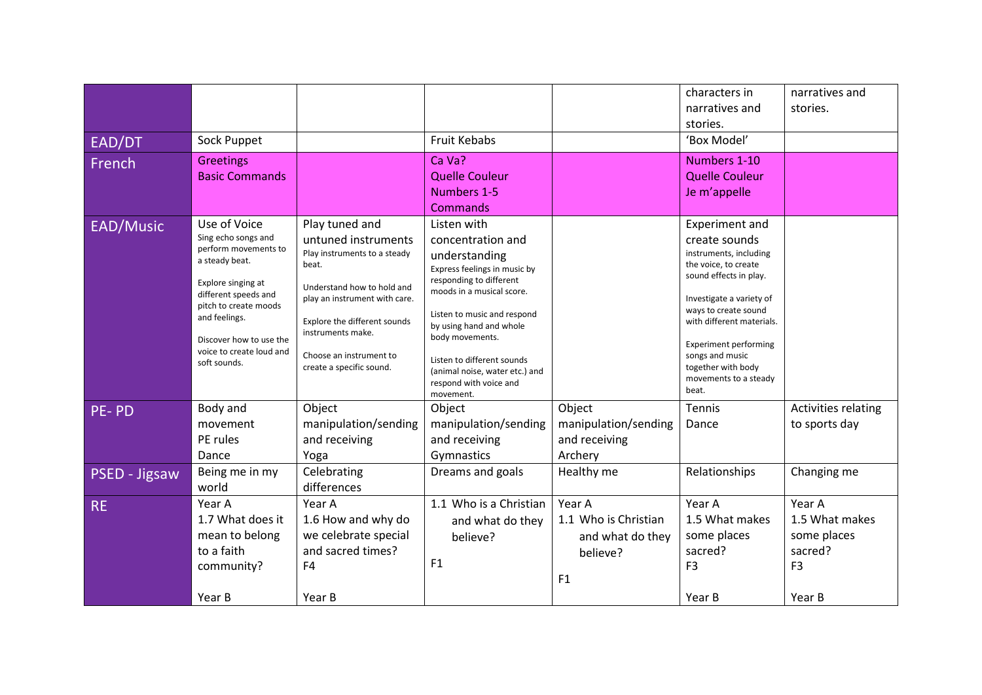|               |                                                                                                                                                                                                                                              |                                                                                                                                                                                                                                                           |                                                                                                                                                                                                                                                                                                                               |                      | characters in                                                                                                                                                                                                                                                                                           | narratives and      |
|---------------|----------------------------------------------------------------------------------------------------------------------------------------------------------------------------------------------------------------------------------------------|-----------------------------------------------------------------------------------------------------------------------------------------------------------------------------------------------------------------------------------------------------------|-------------------------------------------------------------------------------------------------------------------------------------------------------------------------------------------------------------------------------------------------------------------------------------------------------------------------------|----------------------|---------------------------------------------------------------------------------------------------------------------------------------------------------------------------------------------------------------------------------------------------------------------------------------------------------|---------------------|
|               |                                                                                                                                                                                                                                              |                                                                                                                                                                                                                                                           |                                                                                                                                                                                                                                                                                                                               |                      | narratives and                                                                                                                                                                                                                                                                                          | stories.            |
|               |                                                                                                                                                                                                                                              |                                                                                                                                                                                                                                                           |                                                                                                                                                                                                                                                                                                                               |                      | stories.                                                                                                                                                                                                                                                                                                |                     |
| EAD/DT        | Sock Puppet                                                                                                                                                                                                                                  |                                                                                                                                                                                                                                                           | <b>Fruit Kebabs</b>                                                                                                                                                                                                                                                                                                           |                      | 'Box Model'                                                                                                                                                                                                                                                                                             |                     |
| French        | <b>Greetings</b><br><b>Basic Commands</b>                                                                                                                                                                                                    |                                                                                                                                                                                                                                                           | Ca Va?<br><b>Quelle Couleur</b>                                                                                                                                                                                                                                                                                               |                      | Numbers 1-10<br><b>Quelle Couleur</b>                                                                                                                                                                                                                                                                   |                     |
|               |                                                                                                                                                                                                                                              |                                                                                                                                                                                                                                                           | Numbers 1-5                                                                                                                                                                                                                                                                                                                   |                      | Je m'appelle                                                                                                                                                                                                                                                                                            |                     |
|               |                                                                                                                                                                                                                                              |                                                                                                                                                                                                                                                           | Commands                                                                                                                                                                                                                                                                                                                      |                      |                                                                                                                                                                                                                                                                                                         |                     |
| EAD/Music     | Use of Voice<br>Sing echo songs and<br>perform movements to<br>a steady beat.<br>Explore singing at<br>different speeds and<br>pitch to create moods<br>and feelings.<br>Discover how to use the<br>voice to create loud and<br>soft sounds. | Play tuned and<br>untuned instruments<br>Play instruments to a steady<br>beat.<br>Understand how to hold and<br>play an instrument with care.<br>Explore the different sounds<br>instruments make.<br>Choose an instrument to<br>create a specific sound. | Listen with<br>concentration and<br>understanding<br>Express feelings in music by<br>responding to different<br>moods in a musical score.<br>Listen to music and respond<br>by using hand and whole<br>body movements.<br>Listen to different sounds<br>(animal noise, water etc.) and<br>respond with voice and<br>movement. |                      | Experiment and<br>create sounds<br>instruments, including<br>the voice, to create<br>sound effects in play.<br>Investigate a variety of<br>ways to create sound<br>with different materials.<br><b>Experiment performing</b><br>songs and music<br>together with body<br>movements to a steady<br>beat. |                     |
| PE-PD         | Body and                                                                                                                                                                                                                                     | Object                                                                                                                                                                                                                                                    | Object                                                                                                                                                                                                                                                                                                                        | Object               | Tennis                                                                                                                                                                                                                                                                                                  | Activities relating |
|               | movement                                                                                                                                                                                                                                     | manipulation/sending                                                                                                                                                                                                                                      | manipulation/sending                                                                                                                                                                                                                                                                                                          | manipulation/sending | Dance                                                                                                                                                                                                                                                                                                   | to sports day       |
|               | PE rules                                                                                                                                                                                                                                     | and receiving                                                                                                                                                                                                                                             | and receiving                                                                                                                                                                                                                                                                                                                 | and receiving        |                                                                                                                                                                                                                                                                                                         |                     |
|               | Dance                                                                                                                                                                                                                                        | Yoga                                                                                                                                                                                                                                                      | Gymnastics                                                                                                                                                                                                                                                                                                                    | Archery              |                                                                                                                                                                                                                                                                                                         |                     |
| PSED - Jigsaw | Being me in my                                                                                                                                                                                                                               | Celebrating                                                                                                                                                                                                                                               | Dreams and goals                                                                                                                                                                                                                                                                                                              | Healthy me           | Relationships                                                                                                                                                                                                                                                                                           | Changing me         |
| <b>RE</b>     | world<br>Year A                                                                                                                                                                                                                              | differences<br>Year A                                                                                                                                                                                                                                     | 1.1 Who is a Christian                                                                                                                                                                                                                                                                                                        | Year A               | Year A                                                                                                                                                                                                                                                                                                  | Year A              |
|               | 1.7 What does it                                                                                                                                                                                                                             | 1.6 How and why do                                                                                                                                                                                                                                        | and what do they                                                                                                                                                                                                                                                                                                              | 1.1 Who is Christian | 1.5 What makes                                                                                                                                                                                                                                                                                          | 1.5 What makes      |
|               | mean to belong                                                                                                                                                                                                                               | we celebrate special                                                                                                                                                                                                                                      | believe?                                                                                                                                                                                                                                                                                                                      | and what do they     | some places                                                                                                                                                                                                                                                                                             | some places         |
|               | to a faith                                                                                                                                                                                                                                   | and sacred times?                                                                                                                                                                                                                                         |                                                                                                                                                                                                                                                                                                                               | believe?             | sacred?                                                                                                                                                                                                                                                                                                 | sacred?             |
|               | community?                                                                                                                                                                                                                                   | F <sub>4</sub>                                                                                                                                                                                                                                            | F1                                                                                                                                                                                                                                                                                                                            |                      | F <sub>3</sub>                                                                                                                                                                                                                                                                                          | F <sub>3</sub>      |
|               |                                                                                                                                                                                                                                              |                                                                                                                                                                                                                                                           |                                                                                                                                                                                                                                                                                                                               | F1                   |                                                                                                                                                                                                                                                                                                         |                     |
|               | Year B                                                                                                                                                                                                                                       | Year B                                                                                                                                                                                                                                                    |                                                                                                                                                                                                                                                                                                                               |                      | Year B                                                                                                                                                                                                                                                                                                  | Year B              |